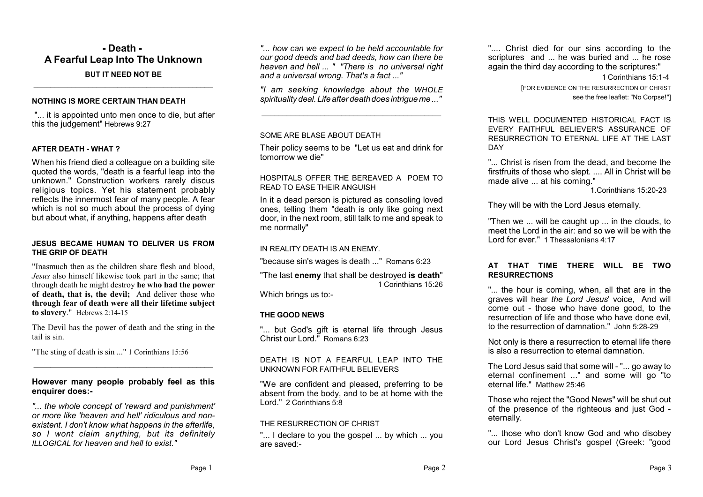### **- Death - A Fearful Leap Into The Unknown BUT IT NEED NOT BE**

**\_\_\_\_\_\_\_\_\_\_\_\_\_\_\_\_\_\_\_\_\_\_\_\_\_\_\_\_\_\_\_\_\_\_\_\_\_\_\_\_\_\_\_**

#### **NOTHING IS MORE CERTAIN THAN DEATH**

"... it is appointed unto men once to die, but after this the judgement" Hebrews 9:27

#### **AFTER DEATH - WHAT ?**

When his friend died a colleague on a building site quoted the words, "death is a fearful leap into the unknown." Construction workers rarely discus religious topics. Yet his statement probably reflects the innermost fear of many people. A fear which is not so much about the process of dying but about what, if anything, happens after death

#### **JESUS BECAME HUMAN TO DELIVER US FROM THE GRIP OF DEATH**

"Inasmuch then as the children share flesh and blood, *Jesus* also himself likewise took part in the same; that through death he might destroy **he who had the power of death, that is, the devil;** And deliver those who **through fear of death were all their lifetime subject to slavery**." Hebrews 2:14-15

The Devil has the power of death and the sting in the tail is sin.

"The sting of death is sin ..." 1 Corinthians 15:56

#### **However many people probably feel as this enquirer does:-**

**\_\_\_\_\_\_\_\_\_\_\_\_\_\_\_\_\_\_\_\_\_\_\_\_\_\_\_\_\_\_\_\_\_\_\_\_\_\_\_\_\_\_\_**

*"... the whole concept of 'reward and punishment' or more like 'heaven and hell' ridiculous and nonexistent. I don't know what happens in the afterlife, so I wont claim anything, but its definitely ILLOGICAL for heaven and hell to exist."*

*"... how can we expect to be held accountable for our good deeds and bad deeds, how can there be heaven and hell ... " "There is no universal right and a universal wrong. That's a fact ..."*

*"I am seeking knowledge about the WHOLE spirituality deal. Life after death does intrigue me ..."*

**\_\_\_\_\_\_\_\_\_\_\_\_\_\_\_\_\_\_\_\_\_\_\_\_\_\_\_\_\_\_\_\_\_\_\_\_\_\_\_\_\_\_\_**

#### SOME ARE BLASE ABOUT DEATH.

Their policy seems to be "Let us eat and drink for tomorrow we die"

#### HOSPITALS OFFER THE BEREAVED A POEM TO READ TO EASE THEIR ANGUISH

In it a dead person is pictured as consoling loved ones, telling them "death is only like going next door, in the next room, still talk to me and speak to me normally"

#### IN REALITY DEATH IS AN ENEMY.

"because sin's wages is death ..." Romans 6:23

"The last **enemy** that shall be destroyed **is death**" 1 Corinthians 15:26

Which brings us to:-

#### **THE GOOD NEWS**

"... but God's gift is eternal life through Jesus Christ our Lord." Romans 6:23

DEATH IS NOT A FEARFUL LEAP INTO THE UNKNOWN FOR FAITHFUL BELIEVERS

"We are confident and pleased, preferring to be absent from the body, and to be at home with the Lord." 2 Corinthians 5:8

#### THE RESURRECTION OF CHRIST

"... I declare to you the gospel ... by which ... you are saved:-

".... Christ died for our sins according to the scriptures and ... he was buried and ... he rose again the third day according to the scriptures:"

1 Corinthians 15:1-4

[FOR EVIDENCE ON THE RESURRECTION OF CHRIST see the free leaflet: "No Corpse!"]

THIS WELL DOCUMENTED HISTORICAL FACT IS EVERY FAITHFUL BELIEVER'S ASSURANCE OF RESURRECTION TO ETERNAL LIFE AT THE LAST **DAY** 

"... Christ is risen from the dead, and become the firstfruits of those who slept. .... All in Christ will be made alive ... at his coming."

1.Corinthians 15:20-23

They will be with the Lord Jesus eternally.

"Then we ... will be caught up ... in the clouds, to meet the Lord in the air: and so we will be with the Lord for ever." 1 Thessalonians 4:17

#### **AT THAT TIME THERE WILL BE TWO RESURRECTIONS**

"... the hour is coming, when, all that are in the graves will hear *the Lord Jesus*' voice, And will come out - those who have done good, to the resurrection of life and those who have done evil, to the resurrection of damnation." John 5:28-29

Not only is there a resurrection to eternal life there is also a resurrection to eternal damnation.

The Lord Jesus said that some will - "... go away to eternal confinement ..." and some will go "to eternal life." Matthew 25:46

Those who reject the "Good News" will be shut out of the presence of the righteous and just God eternally.

"... those who don't know God and who disobey our Lord Jesus Christ's gospel (Greek: "good